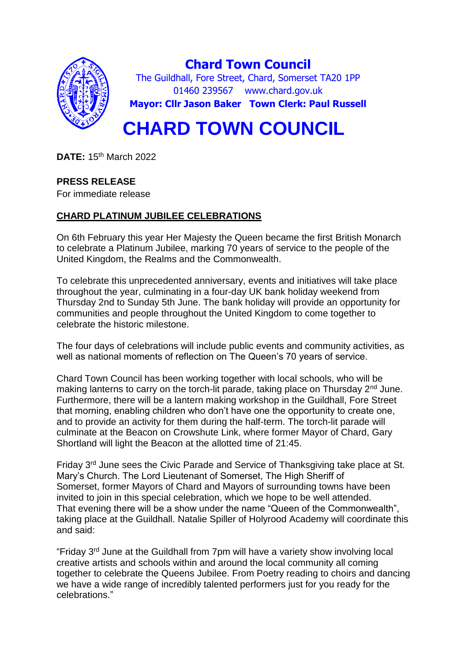

**Chard Town Council** The Guildhall, Fore Street, Chard, Somerset TA20 1PP 01460 239567 www.chard.gov.uk **Mayor: Cllr Jason Baker Town Clerk: Paul Russell**

# **CHARD TOWN COUNCIL**

**DATE:** 15th March 2022

## **PRESS RELEASE**

For immediate release

## **CHARD PLATINUM JUBILEE CELEBRATIONS**

On 6th February this year Her Majesty the Queen became the first British Monarch to celebrate a Platinum Jubilee, marking 70 years of service to the people of the United Kingdom, the Realms and the Commonwealth.

To celebrate this unprecedented anniversary, events and initiatives will take place throughout the year, culminating in a four-day UK bank holiday weekend from Thursday 2nd to Sunday 5th June. The bank holiday will provide an opportunity for communities and people throughout the United Kingdom to come together to celebrate the historic milestone.

The four days of celebrations will include public events and community activities, as well as national moments of reflection on The Queen's 70 years of service.

Chard Town Council has been working together with local schools, who will be making lanterns to carry on the torch-lit parade, taking place on Thursday  $2<sup>nd</sup>$  June. Furthermore, there will be a lantern making workshop in the Guildhall, Fore Street that morning, enabling children who don't have one the opportunity to create one, and to provide an activity for them during the half-term. The torch-lit parade will culminate at the Beacon on Crowshute Link, where former Mayor of Chard, Gary Shortland will light the Beacon at the allotted time of 21:45.

Friday 3rd June sees the Civic Parade and Service of Thanksgiving take place at St. Mary's Church. The Lord Lieutenant of Somerset, The High Sheriff of Somerset, former Mayors of Chard and Mayors of surrounding towns have been invited to join in this special celebration, which we hope to be well attended. That evening there will be a show under the name "Queen of the Commonwealth", taking place at the Guildhall. Natalie Spiller of Holyrood Academy will coordinate this and said:

"Friday 3rd June at the Guildhall from 7pm will have a variety show involving local creative artists and schools within and around the local community all coming together to celebrate the Queens Jubilee. From Poetry reading to choirs and dancing we have a wide range of incredibly talented performers just for you ready for the celebrations."